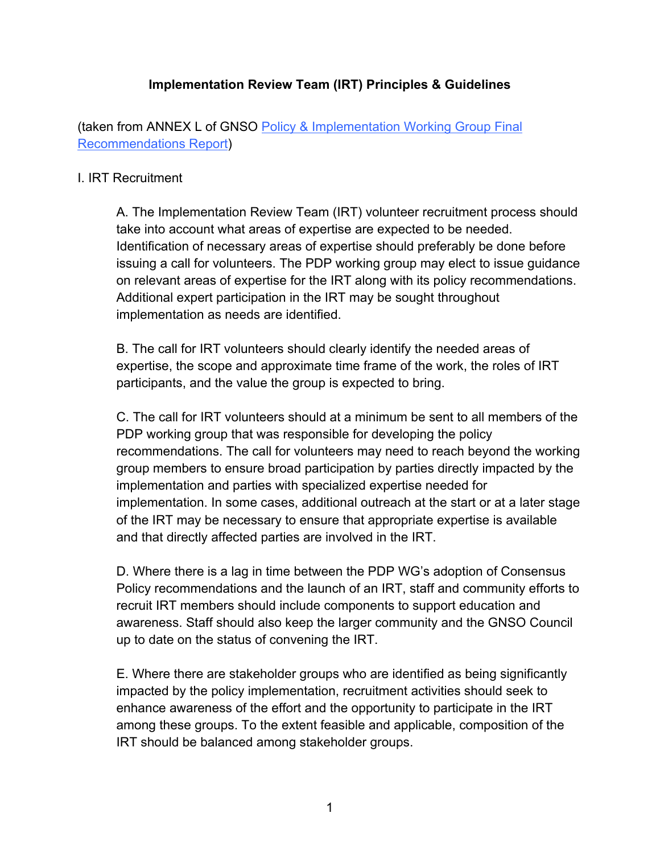## **Implementation Review Team (IRT) Principles & Guidelines**

(taken from ANNEX L of GNSO Policy & Implementation Working Group Final Recommendations Report)

#### I. IRT Recruitment

A. The Implementation Review Team (IRT) volunteer recruitment process should take into account what areas of expertise are expected to be needed. Identification of necessary areas of expertise should preferably be done before issuing a call for volunteers. The PDP working group may elect to issue guidance on relevant areas of expertise for the IRT along with its policy recommendations. Additional expert participation in the IRT may be sought throughout implementation as needs are identified.

B. The call for IRT volunteers should clearly identify the needed areas of expertise, the scope and approximate time frame of the work, the roles of IRT participants, and the value the group is expected to bring.

C. The call for IRT volunteers should at a minimum be sent to all members of the PDP working group that was responsible for developing the policy recommendations. The call for volunteers may need to reach beyond the working group members to ensure broad participation by parties directly impacted by the implementation and parties with specialized expertise needed for implementation. In some cases, additional outreach at the start or at a later stage of the IRT may be necessary to ensure that appropriate expertise is available and that directly affected parties are involved in the IRT.

D. Where there is a lag in time between the PDP WG's adoption of Consensus Policy recommendations and the launch of an IRT, staff and community efforts to recruit IRT members should include components to support education and awareness. Staff should also keep the larger community and the GNSO Council up to date on the status of convening the IRT.

E. Where there are stakeholder groups who are identified as being significantly impacted by the policy implementation, recruitment activities should seek to enhance awareness of the effort and the opportunity to participate in the IRT among these groups. To the extent feasible and applicable, composition of the IRT should be balanced among stakeholder groups.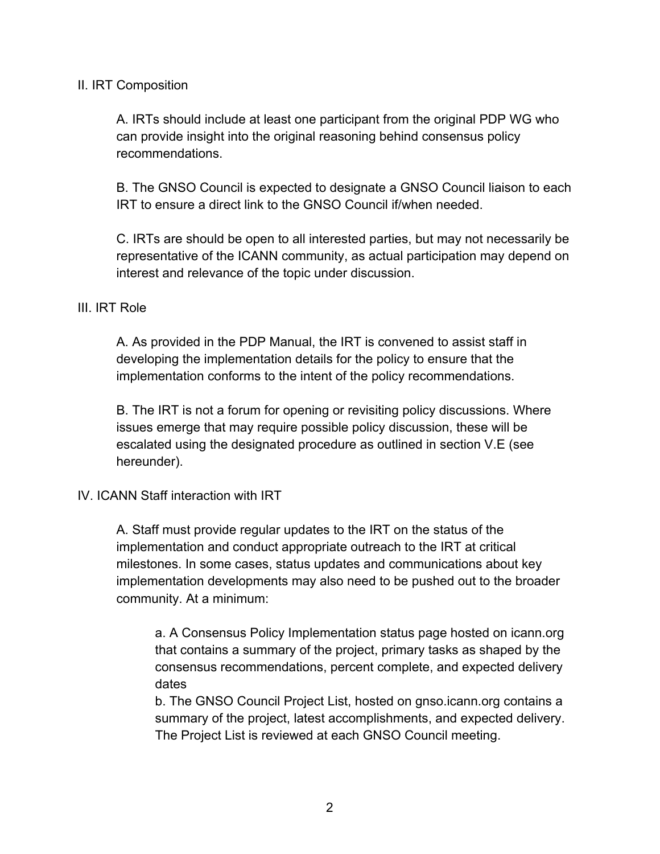#### II. IRT Composition

A. IRTs should include at least one participant from the original PDP WG who can provide insight into the original reasoning behind consensus policy recommendations.

B. The GNSO Council is expected to designate a GNSO Council liaison to each IRT to ensure a direct link to the GNSO Council if/when needed.

C. IRTs are should be open to all interested parties, but may not necessarily be representative of the ICANN community, as actual participation may depend on interest and relevance of the topic under discussion.

### III. IRT Role

A. As provided in the PDP Manual, the IRT is convened to assist staff in developing the implementation details for the policy to ensure that the implementation conforms to the intent of the policy recommendations.

B. The IRT is not a forum for opening or revisiting policy discussions. Where issues emerge that may require possible policy discussion, these will be escalated using the designated procedure as outlined in section V.E (see hereunder).

### IV. ICANN Staff interaction with IRT

A. Staff must provide regular updates to the IRT on the status of the implementation and conduct appropriate outreach to the IRT at critical milestones. In some cases, status updates and communications about key implementation developments may also need to be pushed out to the broader community. At a minimum:

a. A Consensus Policy Implementation status page hosted on icann.org that contains a summary of the project, primary tasks as shaped by the consensus recommendations, percent complete, and expected delivery dates

b. The GNSO Council Project List, hosted on gnso.icann.org contains a summary of the project, latest accomplishments, and expected delivery. The Project List is reviewed at each GNSO Council meeting.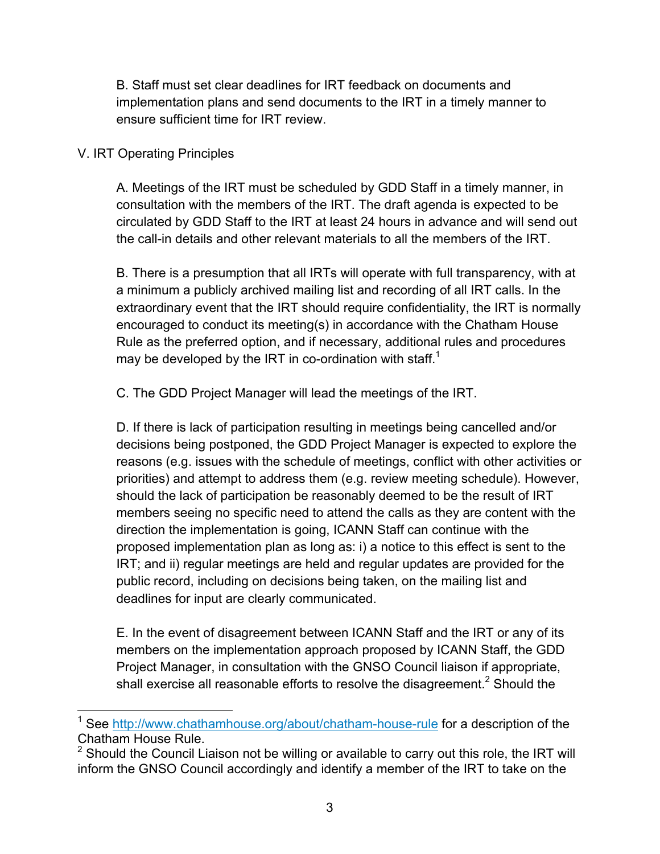B. Staff must set clear deadlines for IRT feedback on documents and implementation plans and send documents to the IRT in a timely manner to ensure sufficient time for IRT review.

# V. IRT Operating Principles

A. Meetings of the IRT must be scheduled by GDD Staff in a timely manner, in consultation with the members of the IRT. The draft agenda is expected to be circulated by GDD Staff to the IRT at least 24 hours in advance and will send out the call-in details and other relevant materials to all the members of the IRT.

B. There is a presumption that all IRTs will operate with full transparency, with at a minimum a publicly archived mailing list and recording of all IRT calls. In the extraordinary event that the IRT should require confidentiality, the IRT is normally encouraged to conduct its meeting(s) in accordance with the Chatham House Rule as the preferred option, and if necessary, additional rules and procedures may be developed by the IRT in co-ordination with staff.<sup>1</sup>

C. The GDD Project Manager will lead the meetings of the IRT.

D. If there is lack of participation resulting in meetings being cancelled and/or decisions being postponed, the GDD Project Manager is expected to explore the reasons (e.g. issues with the schedule of meetings, conflict with other activities or priorities) and attempt to address them (e.g. review meeting schedule). However, should the lack of participation be reasonably deemed to be the result of IRT members seeing no specific need to attend the calls as they are content with the direction the implementation is going, ICANN Staff can continue with the proposed implementation plan as long as: i) a notice to this effect is sent to the IRT; and ii) regular meetings are held and regular updates are provided for the public record, including on decisions being taken, on the mailing list and deadlines for input are clearly communicated.

E. In the event of disagreement between ICANN Staff and the IRT or any of its members on the implementation approach proposed by ICANN Staff, the GDD Project Manager, in consultation with the GNSO Council liaison if appropriate, shall exercise all reasonable efforts to resolve the disagreement.<sup>2</sup> Should the

<sup>&</sup>lt;sup>1</sup> See http://www.chathamhouse.org/about/chatham-house-rule for a description of the Chatham House Rule.<br><sup>2</sup> Should the Council Liaison not be willing or available to carry out this role, the IRT will

inform the GNSO Council accordingly and identify a member of the IRT to take on the